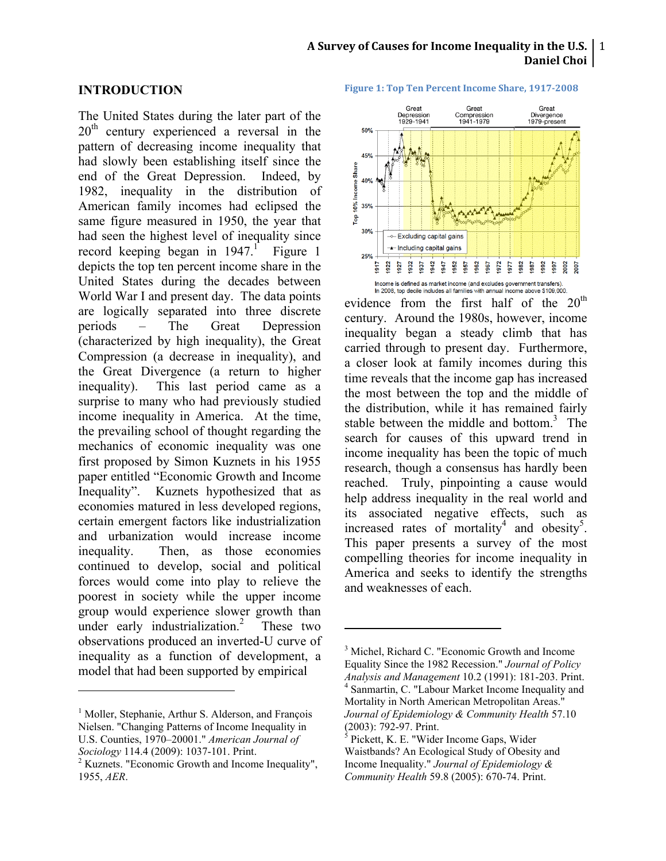#### A Survey of Causes for Income Inequality in the U.S.  $\mid$  1 **Daniel Choi**

#### **INTRODUCTION**

The United States during the later part of the  $20<sup>th</sup>$  century experienced a reversal in the pattern of decreasing income inequality that had slowly been establishing itself since the end of the Great Depression. Indeed, by 1982, inequality in the distribution of American family incomes had eclipsed the same figure measured in 1950, the year that had seen the highest level of inequality since record keeping began in 1947.<sup>1</sup> Figure 1 depicts the top ten percent income share in the United States during the decades between World War I and present day. The data points are logically separated into three discrete periods – The Great Depression (characterized by high inequality), the Great Compression (a decrease in inequality), and the Great Divergence (a return to higher inequality). This last period came as a surprise to many who had previously studied income inequality in America. At the time, the prevailing school of thought regarding the mechanics of economic inequality was one first proposed by Simon Kuznets in his 1955 paper entitled "Economic Growth and Income Inequality". Kuznets hypothesized that as economies matured in less developed regions, certain emergent factors like industrialization and urbanization would increase income inequality. Then, as those economies continued to develop, social and political forces would come into play to relieve the poorest in society while the upper income group would experience slower growth than under early industrialization.<sup>2</sup> These two observations produced an inverted-U curve of inequality as a function of development, a model that had been supported by empirical

!!!!!!!!!!!!!!!!!!!!!!!!!!!!!!!!!!!!!!!!!!!!!!!!!!!!!!!

**Figure 1: Top Ten Percent Income Share, 1917-2008** 



evidence from the first half of the  $20<sup>th</sup>$ century. Around the 1980s, however, income inequality began a steady climb that has carried through to present day. Furthermore, a closer look at family incomes during this time reveals that the income gap has increased the most between the top and the middle of the distribution, while it has remained fairly stable between the middle and bottom.<sup>3</sup> The search for causes of this upward trend in income inequality has been the topic of much research, though a consensus has hardly been reached. Truly, pinpointing a cause would help address inequality in the real world and its associated negative effects, such as increased rates of mortality<sup>4</sup> and obesity<sup>5</sup>. This paper presents a survey of the most compelling theories for income inequality in America and seeks to identify the strengths and weaknesses of each.

<sup>&</sup>lt;sup>1</sup> Moller, Stephanie, Arthur S. Alderson, and François Nielsen. "Changing Patterns of Income Inequality in U.S. Counties, 1970–20001." *American Journal of Sociology* 114.4 (2009): 1037-101. Print. <sup>2</sup>

 $2$  Kuznets. "Economic Growth and Income Inequality", 1955, *AER*.

<sup>3</sup> Michel, Richard C. "Economic Growth and Income Equality Since the 1982 Recession." *Journal of Policy Analysis and Management* 10.2 (1991): 181-203. Print. <sup>4</sup> Sanmartin, C. "Labour Market Income Inequality and Mortality in North American Metropolitan Areas." *Journal of Epidemiology & Community Health* 57.10

 $<sup>5</sup>$  Pickett, K. E. "Wider Income Gaps, Wider</sup> Waistbands? An Ecological Study of Obesity and Income Inequality." *Journal of Epidemiology & Community Health* 59.8 (2005): 670-74. Print.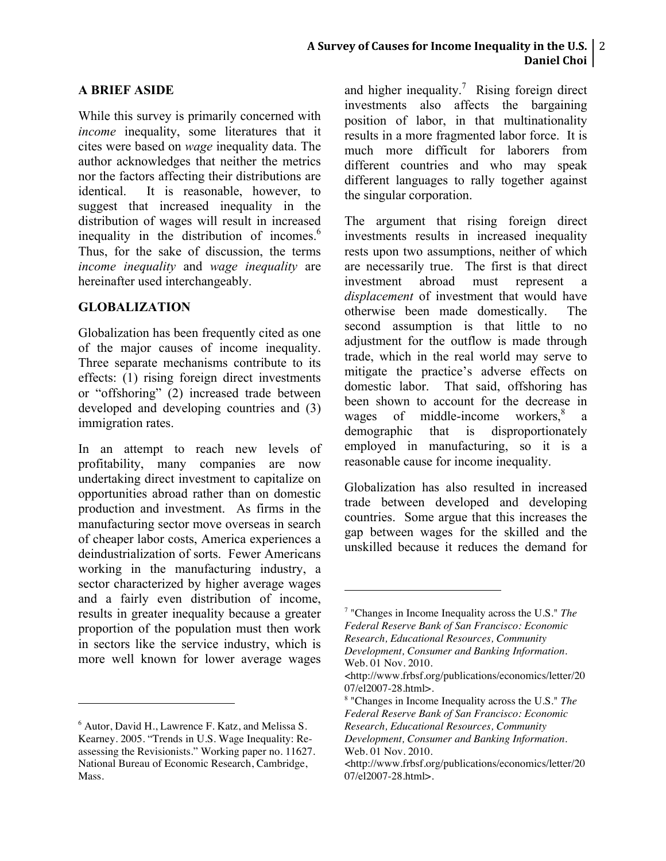# **A Survey of Causes for Income Inequality in the U.S.**  $\mid$  **2** Daniel Choi<sup>1</sup>

## **A BRIEF ASIDE**

While this survey is primarily concerned with *income* inequality, some literatures that it cites were based on *wage* inequality data. The author acknowledges that neither the metrics nor the factors affecting their distributions are identical. It is reasonable, however, to suggest that increased inequality in the distribution of wages will result in increased inequality in the distribution of incomes.<sup>6</sup> Thus, for the sake of discussion, the terms *income inequality* and *wage inequality* are hereinafter used interchangeably.

#### **GLOBALIZATION**

Globalization has been frequently cited as one of the major causes of income inequality. Three separate mechanisms contribute to its effects: (1) rising foreign direct investments or "offshoring" (2) increased trade between developed and developing countries and (3) immigration rates.

In an attempt to reach new levels of profitability, many companies are now undertaking direct investment to capitalize on opportunities abroad rather than on domestic production and investment. As firms in the manufacturing sector move overseas in search of cheaper labor costs, America experiences a deindustrialization of sorts. Fewer Americans working in the manufacturing industry, a sector characterized by higher average wages and a fairly even distribution of income, results in greater inequality because a greater proportion of the population must then work in sectors like the service industry, which is more well known for lower average wages

!!!!!!!!!!!!!!!!!!!!!!!!!!!!!!!!!!!!!!!!!!!!!!!!!!!!!!!

and higher inequality.<sup>7</sup> Rising foreign direct investments also affects the bargaining position of labor, in that multinationality results in a more fragmented labor force. It is much more difficult for laborers from different countries and who may speak different languages to rally together against the singular corporation.

The argument that rising foreign direct investments results in increased inequality rests upon two assumptions, neither of which are necessarily true. The first is that direct investment abroad must represent a *displacement* of investment that would have otherwise been made domestically. The second assumption is that little to no adjustment for the outflow is made through trade, which in the real world may serve to mitigate the practice's adverse effects on domestic labor. That said, offshoring has been shown to account for the decrease in wages of middle-income workers,<sup>8</sup> a demographic that is disproportionately employed in manufacturing, so it is a reasonable cause for income inequality.

Globalization has also resulted in increased trade between developed and developing countries. Some argue that this increases the gap between wages for the skilled and the unskilled because it reduces the demand for

<sup>6</sup> Autor, David H., Lawrence F. Katz, and Melissa S. Kearney. 2005. "Trends in U.S. Wage Inequality: Reassessing the Revisionists." Working paper no. 11627. National Bureau of Economic Research, Cambridge, Mass.

<sup>7</sup> "Changes in Income Inequality across the U.S." *The Federal Reserve Bank of San Francisco: Economic Research, Educational Resources, Community* 

*Development, Consumer and Banking Information*. Web. 01 Nov. 2010.

<sup>&</sup>lt;http://www.frbsf.org/publications/economics/letter/20 07/el2007-28.html>.

<sup>8</sup> "Changes in Income Inequality across the U.S." *The Federal Reserve Bank of San Francisco: Economic Research, Educational Resources, Community* 

*Development, Consumer and Banking Information*. Web. 01 Nov. 2010.

<sup>&</sup>lt;http://www.frbsf.org/publications/economics/letter/20 07/el2007-28.html>.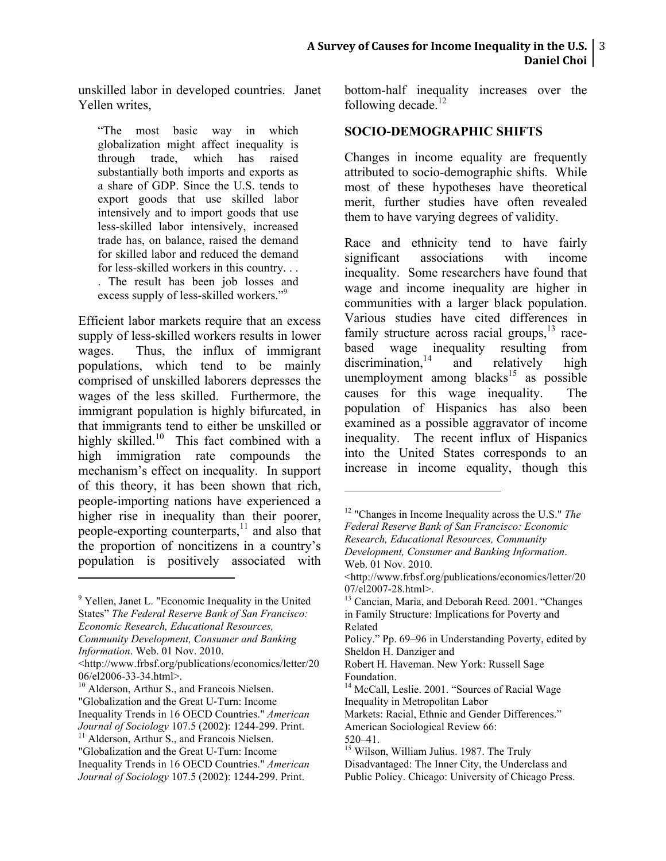unskilled labor in developed countries. Janet Yellen writes,

"The most basic way in which globalization might affect inequality is through trade, which has raised substantially both imports and exports as a share of GDP. Since the U.S. tends to export goods that use skilled labor intensively and to import goods that use less-skilled labor intensively, increased trade has, on balance, raised the demand for skilled labor and reduced the demand for less-skilled workers in this country. . . . The result has been job losses and excess supply of less-skilled workers."<sup>9</sup>

Efficient labor markets require that an excess supply of less-skilled workers results in lower wages. Thus, the influx of immigrant populations, which tend to be mainly comprised of unskilled laborers depresses the wages of the less skilled. Furthermore, the immigrant population is highly bifurcated, in that immigrants tend to either be unskilled or highly skilled.<sup>10</sup> This fact combined with a high immigration rate compounds the mechanism's effect on inequality. In support of this theory, it has been shown that rich, people-importing nations have experienced a higher rise in inequality than their poorer, people-exporting counterparts,<sup>11</sup> and also that the proportion of noncitizens in a country's population is positively associated with

!!!!!!!!!!!!!!!!!!!!!!!!!!!!!!!!!!!!!!!!!!!!!!!!!!!!!!!

- $10$  Alderson, Arthur S., and Francois Nielsen. "Globalization and the Great U-Turn: Income Inequality Trends in 16 OECD Countries." *American Journal of Sociology* 107.5 (2002): 1244-299. Print. <sup>11</sup> Alderson, Arthur S., and Francois Nielsen.
- "Globalization and the Great U-Turn: Income Inequality Trends in 16 OECD Countries." *American Journal of Sociology* 107.5 (2002): 1244-299. Print.

bottom-half inequality increases over the following decade. $12$ 

## **SOCIO-DEMOGRAPHIC SHIFTS**

Changes in income equality are frequently attributed to socio-demographic shifts. While most of these hypotheses have theoretical merit, further studies have often revealed them to have varying degrees of validity.

Race and ethnicity tend to have fairly significant associations with income inequality. Some researchers have found that wage and income inequality are higher in communities with a larger black population. Various studies have cited differences in family structure across racial groups, $^{13}$  racebased wage inequality resulting from discrimination,  $14 \text{ and } \text{ relatively high}$ unemployment among blacks<sup>15</sup> as possible causes for this wage inequality. The population of Hispanics has also been examined as a possible aggravator of income inequality. The recent influx of Hispanics into the United States corresponds to an increase in income equality, though this

- Robert H. Haveman. New York: Russell Sage Foundation.
- <sup>14</sup> McCall, Leslie. 2001. "Sources of Racial Wage Inequality in Metropolitan Labor

<sup>&</sup>lt;sup>9</sup> Yellen, Janet L. "Economic Inequality in the United States" *The Federal Reserve Bank of San Francisco: Economic Research, Educational Resources, Community Development, Consumer and Banking* 

*Information*. Web. 01 Nov. 2010.

<sup>&</sup>lt;http://www.frbsf.org/publications/economics/letter/20

<sup>12</sup> "Changes in Income Inequality across the U.S." *The Federal Reserve Bank of San Francisco: Economic Research, Educational Resources, Community Development, Consumer and Banking Information*. Web. 01 Nov. 2010.

<sup>&</sup>lt;http://www.frbsf.org/publications/economics/letter/20 07/el2007-28.html>.<br><sup>13</sup> Cancian, Maria, and Deborah Reed. 2001. "Changes

in Family Structure: Implications for Poverty and Related

Policy." Pp. 69–96 in Understanding Poverty, edited by Sheldon H. Danziger and

Markets: Racial, Ethnic and Gender Differences."

American Sociological Review 66:

<sup>520–41.</sup> <sup>15</sup> Wilson, William Julius. 1987. The Truly Disadvantaged: The Inner City, the Underclass and Public Policy. Chicago: University of Chicago Press.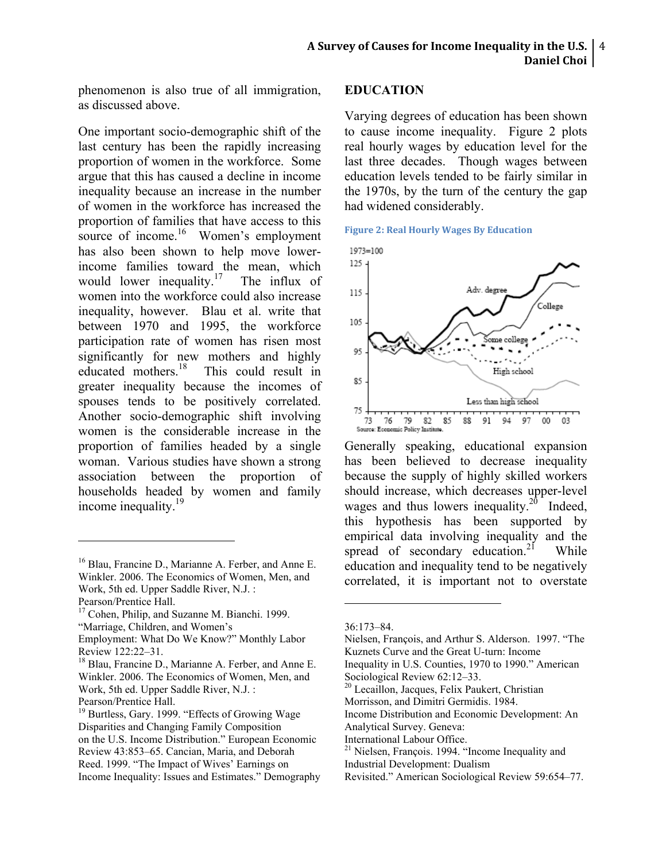phenomenon is also true of all immigration, as discussed above.

One important socio-demographic shift of the last century has been the rapidly increasing proportion of women in the workforce. Some argue that this has caused a decline in income inequality because an increase in the number of women in the workforce has increased the proportion of families that have access to this source of income.<sup>16</sup> Women's employment has also been shown to help move lowerincome families toward the mean, which would lower inequality.<sup>17</sup> The influx of women into the workforce could also increase inequality, however. Blau et al. write that between 1970 and 1995, the workforce participation rate of women has risen most significantly for new mothers and highly educated mothers.<sup>18</sup> This could result in This could result in greater inequality because the incomes of spouses tends to be positively correlated. Another socio-demographic shift involving women is the considerable increase in the proportion of families headed by a single woman. Various studies have shown a strong association between the proportion of households headed by women and family income inequality.<sup>19</sup>

!!!!!!!!!!!!!!!!!!!!!!!!!!!!!!!!!!!!!!!!!!!!!!!!!!!!!!!

## **EDUCATION**

Varying degrees of education has been shown to cause income inequality. Figure 2 plots real hourly wages by education level for the last three decades. Though wages between education levels tended to be fairly similar in the 1970s, by the turn of the century the gap had widened considerably.





Generally speaking, educational expansion has been believed to decrease inequality because the supply of highly skilled workers should increase, which decreases upper-level wages and thus lowers inequality.<sup>20</sup> Indeed, this hypothesis has been supported by empirical data involving inequality and the spread of secondary education.<sup>21</sup> While education and inequality tend to be negatively correlated, it is important not to overstate

<sup>16</sup> Blau, Francine D., Marianne A. Ferber, and Anne E. Winkler. 2006. The Economics of Women, Men, and Work, 5th ed. Upper Saddle River, N.J. :

Pearson/Prentice Hall.

<sup>&</sup>lt;sup>17</sup> Cohen, Philip, and Suzanne M. Bianchi. 1999. "Marriage, Children, and Women's

Employment: What Do We Know?" Monthly Labor Review 122:22–31.<br><sup>18</sup> Blau, Francine D., Marianne A. Ferber, and Anne E.

Winkler. 2006. The Economics of Women, Men, and Work, 5th ed. Upper Saddle River, N.J. : Pearson/Prentice Hall.

<sup>&</sup>lt;sup>19</sup> Burtless, Gary. 1999. "Effects of Growing Wage Disparities and Changing Family Composition on the U.S. Income Distribution." European Economic Review 43:853–65. Cancian, Maria, and Deborah Reed. 1999. "The Impact of Wives' Earnings on Income Inequality: Issues and Estimates." Demography

<sup>36:173–84.</sup>

Nielsen, François, and Arthur S. Alderson. 1997. "The Kuznets Curve and the Great U-turn: Income

Inequality in U.S. Counties, 1970 to 1990." American Sociological Review 62:12–33.

 $\frac{30}{20}$  Lecaillon, Jacques, Felix Paukert, Christian

Morrisson, and Dimitri Germidis. 1984.

Income Distribution and Economic Development: An Analytical Survey. Geneva:

International Labour Office.

<sup>21</sup> Nielsen, François. 1994. "Income Inequality and Industrial Development: Dualism

Revisited." American Sociological Review 59:654–77.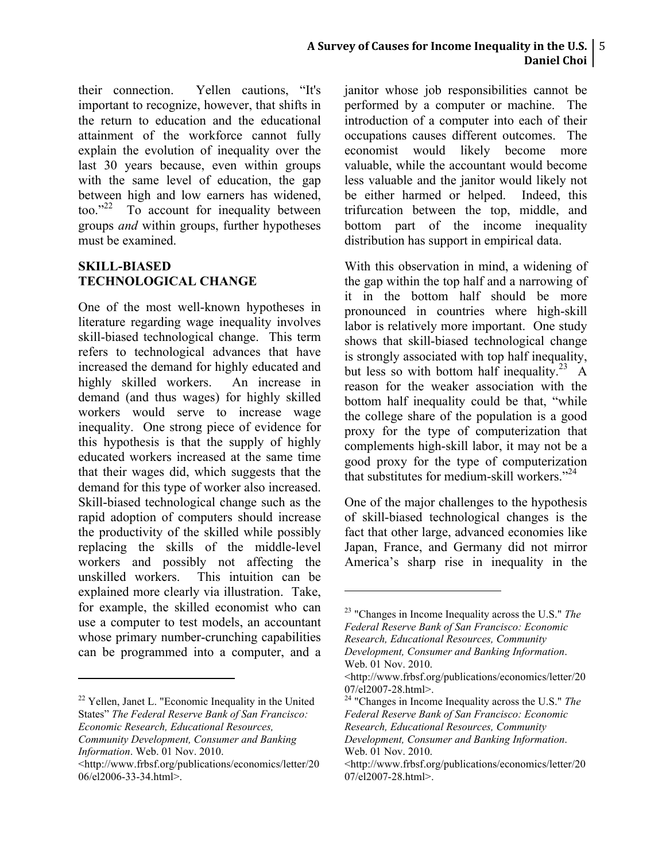#### **A Survey of Causes for Income Inequality in the U.S.**  $\mid$  **5 Daniel Choi**

their connection. Yellen cautions, "It's important to recognize, however, that shifts in the return to education and the educational attainment of the workforce cannot fully explain the evolution of inequality over the last 30 years because, even within groups with the same level of education, the gap between high and low earners has widened, too." 22 To account for inequality between groups *and* within groups, further hypotheses must be examined.

#### **SKILL-BIASED TECHNOLOGICAL CHANGE**

One of the most well-known hypotheses in literature regarding wage inequality involves skill-biased technological change. This term refers to technological advances that have increased the demand for highly educated and highly skilled workers. An increase in demand (and thus wages) for highly skilled workers would serve to increase wage inequality. One strong piece of evidence for this hypothesis is that the supply of highly educated workers increased at the same time that their wages did, which suggests that the demand for this type of worker also increased. Skill-biased technological change such as the rapid adoption of computers should increase the productivity of the skilled while possibly replacing the skills of the middle-level workers and possibly not affecting the unskilled workers. This intuition can be explained more clearly via illustration. Take, for example, the skilled economist who can use a computer to test models, an accountant whose primary number-crunching capabilities can be programmed into a computer, and a

<sup>22</sup> Yellen, Janet L. "Economic Inequality in the United States" *The Federal Reserve Bank of San Francisco: Economic Research, Educational Resources,* 

!!!!!!!!!!!!!!!!!!!!!!!!!!!!!!!!!!!!!!!!!!!!!!!!!!!!!!!

janitor whose job responsibilities cannot be performed by a computer or machine. The introduction of a computer into each of their occupations causes different outcomes. The economist would likely become more valuable, while the accountant would become less valuable and the janitor would likely not be either harmed or helped. Indeed, this trifurcation between the top, middle, and bottom part of the income inequality distribution has support in empirical data.

With this observation in mind, a widening of the gap within the top half and a narrowing of it in the bottom half should be more pronounced in countries where high-skill labor is relatively more important. One study shows that skill-biased technological change is strongly associated with top half inequality, but less so with bottom half inequality.<sup>23</sup> A reason for the weaker association with the bottom half inequality could be that, "while the college share of the population is a good proxy for the type of computerization that complements high-skill labor, it may not be a good proxy for the type of computerization that substitutes for medium-skill workers." 24

One of the major challenges to the hypothesis of skill-biased technological changes is the fact that other large, advanced economies like Japan, France, and Germany did not mirror America's sharp rise in inequality in the

*Community Development, Consumer and Banking Information*. Web. 01 Nov. 2010.

<sup>&</sup>lt;http://www.frbsf.org/publications/economics/letter/20 06/el2006-33-34.html>.

<sup>23</sup> "Changes in Income Inequality across the U.S." *The Federal Reserve Bank of San Francisco: Economic Research, Educational Resources, Community* 

*Development, Consumer and Banking Information*. Web. 01 Nov. 2010.

<sup>&</sup>lt;http://www.frbsf.org/publications/economics/letter/20

<sup>07/</sup>el2007-28.html>. <sup>24</sup> "Changes in Income Inequality across the U.S." *The Federal Reserve Bank of San Francisco: Economic Research, Educational Resources, Community* 

*Development, Consumer and Banking Information*. Web. 01 Nov. 2010.

<sup>&</sup>lt;http://www.frbsf.org/publications/economics/letter/20 07/el2007-28.html>.